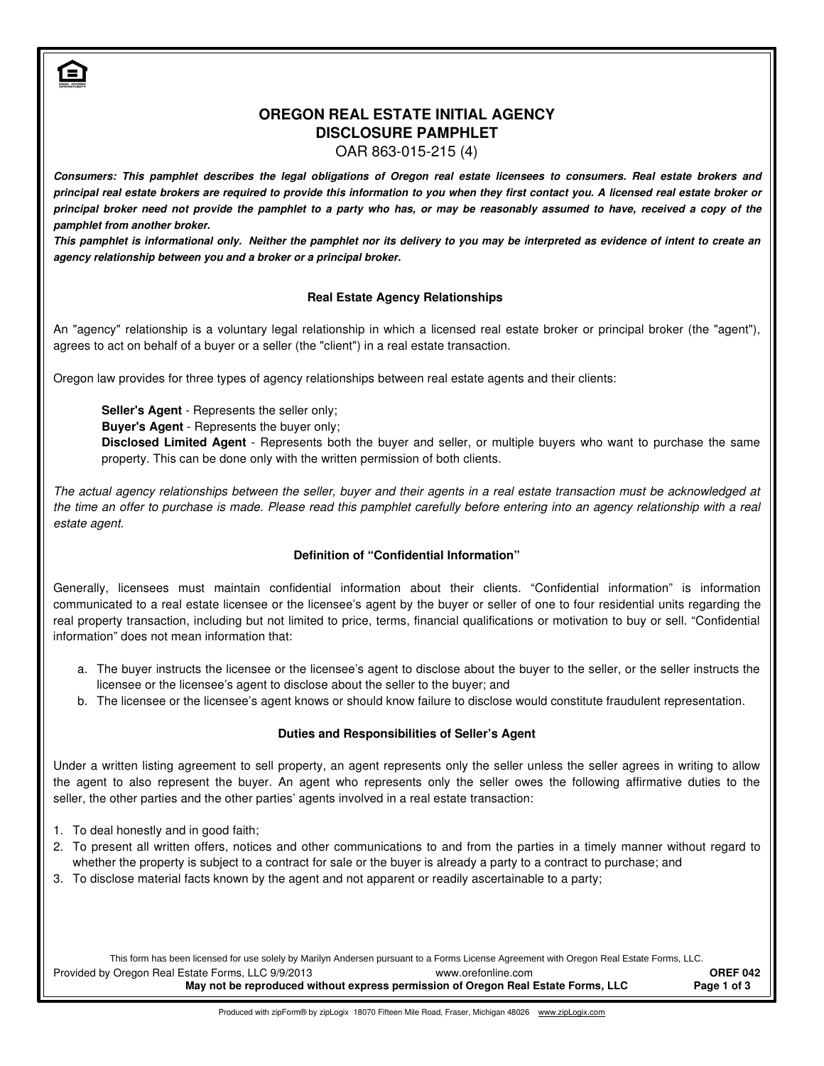# **OREGON REAL ESTATE INITIAL AGENCY DISCLOSURE PAMPHLET**

OAR 863-015-215 (4)

*Consumers: This pamphlet describes the legal obligations of Oregon real estate licensees to consumers. Real estate brokers and principal real estate brokers are required to provide this information to you when they first contact you. A licensed real estate broker or principal broker need not provide the pamphlet to a party who has, or may be reasonably assumed to have, received a copy of the pamphlet from another broker.* 

*This pamphlet is informational only. Neither the pamphlet nor its delivery to you may be interpreted as evidence of intent to create an agency relationship between you and a broker or a principal broker.* 

### **Real Estate Agency Relationships**

An "agency" relationship is a voluntary legal relationship in which a licensed real estate broker or principal broker (the "agent"), agrees to act on behalf of a buyer or a seller (the "client") in a real estate transaction.

Oregon law provides for three types of agency relationships between real estate agents and their clients:

**Seller's Agent** - Represents the seller only;

**Buyer's Agent** - Represents the buyer only;

**Disclosed Limited Agent** - Represents both the buyer and seller, or multiple buyers who want to purchase the same property. This can be done only with the written permission of both clients.

The actual agency relationships between the seller, buyer and their agents in a real estate transaction must be acknowledged at the time an offer to purchase is made. Please read this pamphlet carefully before entering into an agency relationship with a real estate agent.

## **Definition of "Confidential Information"**

Generally, licensees must maintain confidential information about their clients. "Confidential information" is information communicated to a real estate licensee or the licensee's agent by the buyer or seller of one to four residential units regarding the real property transaction, including but not limited to price, terms, financial qualifications or motivation to buy or sell. "Confidential information" does not mean information that:

- a. The buyer instructs the licensee or the licensee's agent to disclose about the buyer to the seller, or the seller instructs the licensee or the licensee's agent to disclose about the seller to the buyer; and
- b. The licensee or the licensee's agent knows or should know failure to disclose would constitute fraudulent representation.

#### **Duties and Responsibilities of Seller's Agent**

Under a written listing agreement to sell property, an agent represents only the seller unless the seller agrees in writing to allow the agent to also represent the buyer. An agent who represents only the seller owes the following affirmative duties to the seller, the other parties and the other parties' agents involved in a real estate transaction:

- 1. To deal honestly and in good faith;
- 2. To present all written offers, notices and other communications to and from the parties in a timely manner without regard to whether the property is subject to a contract for sale or the buyer is already a party to a contract to purchase; and
- 3. To disclose material facts known by the agent and not apparent or readily ascertainable to a party;

Provided by Oregon Real Estate Forms, LLC 9/9/2013 **OREF 042** May not be reproduced without express permission of Oregon Real Estate Forms, LLC Page 1 of 3 www.orefonline.com This form has been licensed for use solely by Marilyn Andersen pursuant to a Forms License Agreement with Oregon Real Estate Forms, LLC.

Produced with zipForm® by zipLogix 18070 Fifteen Mile Road, Fraser, Michigan 48026 www.zipLogix.com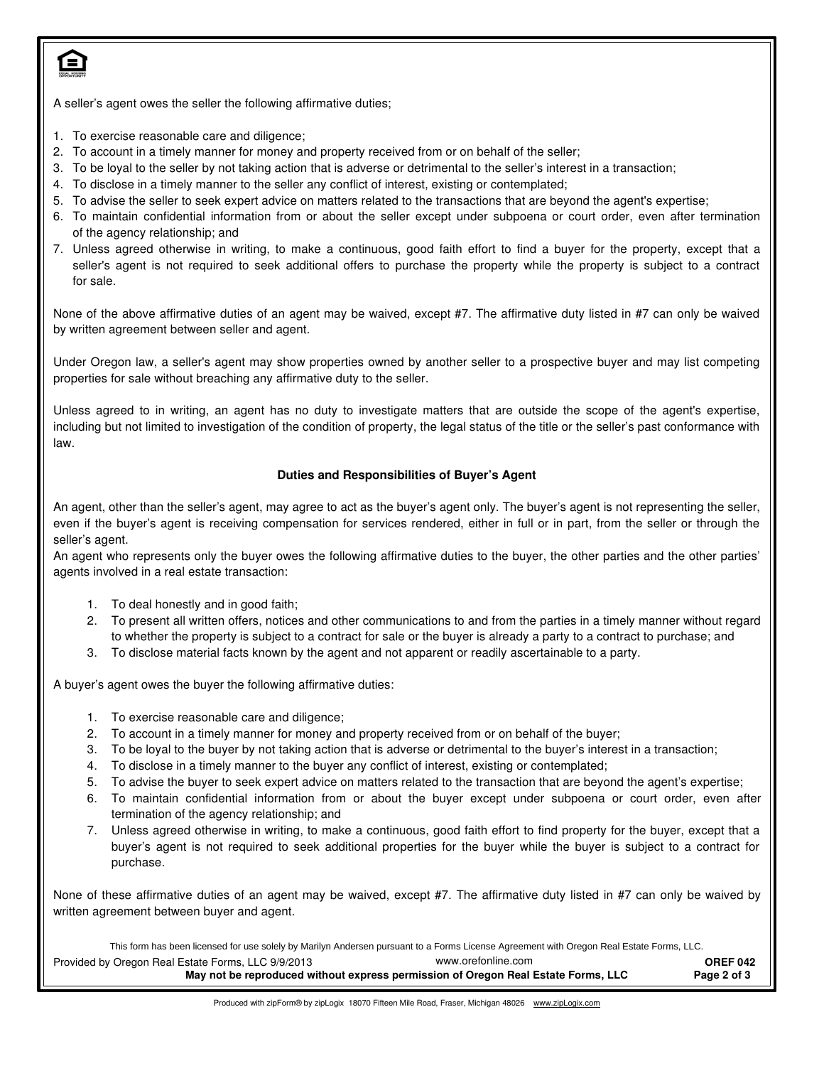

A seller's agent owes the seller the following affirmative duties;

- 1. To exercise reasonable care and diligence;
- 2. To account in a timely manner for money and property received from or on behalf of the seller;
- 3. To be loyal to the seller by not taking action that is adverse or detrimental to the seller's interest in a transaction;
- 4. To disclose in a timely manner to the seller any conflict of interest, existing or contemplated;
- 5. To advise the seller to seek expert advice on matters related to the transactions that are beyond the agent's expertise;
- 6. To maintain confidential information from or about the seller except under subpoena or court order, even after termination of the agency relationship; and
- 7. Unless agreed otherwise in writing, to make a continuous, good faith effort to find a buyer for the property, except that a seller's agent is not required to seek additional offers to purchase the property while the property is subject to a contract for sale.

None of the above affirmative duties of an agent may be waived, except #7. The affirmative duty listed in #7 can only be waived by written agreement between seller and agent.

Under Oregon law, a seller's agent may show properties owned by another seller to a prospective buyer and may list competing properties for sale without breaching any affirmative duty to the seller.

Unless agreed to in writing, an agent has no duty to investigate matters that are outside the scope of the agent's expertise, including but not limited to investigation of the condition of property, the legal status of the title or the seller's past conformance with law.

#### **Duties and Responsibilities of Buyer's Agent**

An agent, other than the seller's agent, may agree to act as the buyer's agent only. The buyer's agent is not representing the seller, even if the buyer's agent is receiving compensation for services rendered, either in full or in part, from the seller or through the seller's agent.

An agent who represents only the buyer owes the following affirmative duties to the buyer, the other parties and the other parties' agents involved in a real estate transaction:

- 1. To deal honestly and in good faith;
- 2. To present all written offers, notices and other communications to and from the parties in a timely manner without regard to whether the property is subject to a contract for sale or the buyer is already a party to a contract to purchase; and
- 3. To disclose material facts known by the agent and not apparent or readily ascertainable to a party.

A buyer's agent owes the buyer the following affirmative duties:

- 1. To exercise reasonable care and diligence;
- 2. To account in a timely manner for money and property received from or on behalf of the buyer;
- 3. To be loyal to the buyer by not taking action that is adverse or detrimental to the buyer's interest in a transaction;
- 4. To disclose in a timely manner to the buyer any conflict of interest, existing or contemplated;
- 5. To advise the buyer to seek expert advice on matters related to the transaction that are beyond the agent's expertise;
- 6. To maintain confidential information from or about the buyer except under subpoena or court order, even after termination of the agency relationship; and
- 7. Unless agreed otherwise in writing, to make a continuous, good faith effort to find property for the buyer, except that a buyer's agent is not required to seek additional properties for the buyer while the buyer is subject to a contract for purchase.

None of these affirmative duties of an agent may be waived, except #7. The affirmative duty listed in #7 can only be waived by written agreement between buyer and agent.

This form has been licensed for use solely by Marilyn Andersen pursuant to a Forms License Agreement with Oregon Real Estate Forms, LLC.

| Provided by Oregon Real Estate Forms, LLC 9/9/2013                                | www.orefonline.com | <b>OREF 042</b> |
|-----------------------------------------------------------------------------------|--------------------|-----------------|
| May not be reproduced without express permission of Oregon Real Estate Forms, LLC |                    | Page 2 of 3     |